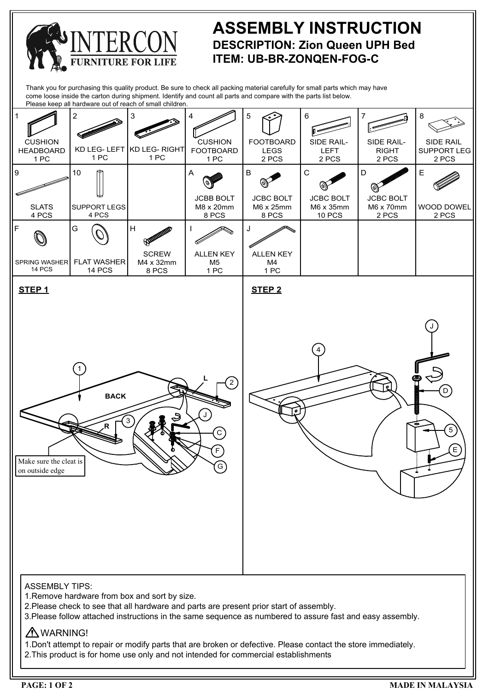